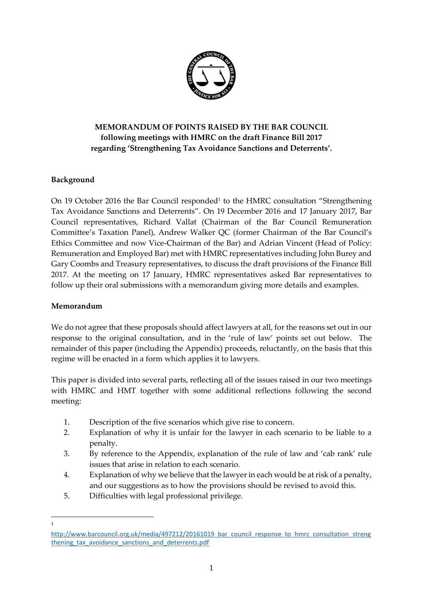

# **MEMORANDUM OF POINTS RAISED BY THE BAR COUNCIL following meetings with HMRC on the draft Finance Bill 2017 regarding 'Strengthening Tax Avoidance Sanctions and Deterrents'.**

# **Background**

On 19 October 2016 the Bar Council responded<sup>1</sup> to the HMRC consultation "Strengthening Tax Avoidance Sanctions and Deterrents". On 19 December 2016 and 17 January 2017, Bar Council representatives, Richard Vallat (Chairman of the Bar Council Remuneration Committee's Taxation Panel), Andrew Walker QC (former Chairman of the Bar Council's Ethics Committee and now Vice-Chairman of the Bar) and Adrian Vincent (Head of Policy: Remuneration and Employed Bar) met with HMRC representatives including John Burey and Gary Coombs and Treasury representatives, to discuss the draft provisions of the Finance Bill 2017. At the meeting on 17 January, HMRC representatives asked Bar representatives to follow up their oral submissions with a memorandum giving more details and examples.

# **Memorandum**

**.** 1

We do not agree that these proposals should affect lawyers at all, for the reasons set out in our response to the original consultation, and in the 'rule of law' points set out below. The remainder of this paper (including the Appendix) proceeds, reluctantly, on the basis that this regime will be enacted in a form which applies it to lawyers.

This paper is divided into several parts, reflecting all of the issues raised in our two meetings with HMRC and HMT together with some additional reflections following the second meeting:

- 1. Description of the five scenarios which give rise to concern.
- 2. Explanation of why it is unfair for the lawyer in each scenario to be liable to a penalty.
- 3. By reference to the Appendix, explanation of the rule of law and 'cab rank' rule issues that arise in relation to each scenario.
- 4. Explanation of why we believe that the lawyer in each would be at risk of a penalty, and our suggestions as to how the provisions should be revised to avoid this.
- 5. Difficulties with legal professional privilege.

[http://www.barcouncil.org.uk/media/497212/20161019\\_bar\\_council\\_response\\_to\\_hmrc\\_consultation\\_streng](http://www.barcouncil.org.uk/media/497212/20161019_bar_council_response_to_hmrc_consultation_strengthening_tax_avoidance_sanctions_and_deterrents.pdf) thening tax avoidance sanctions and deterrents.pdf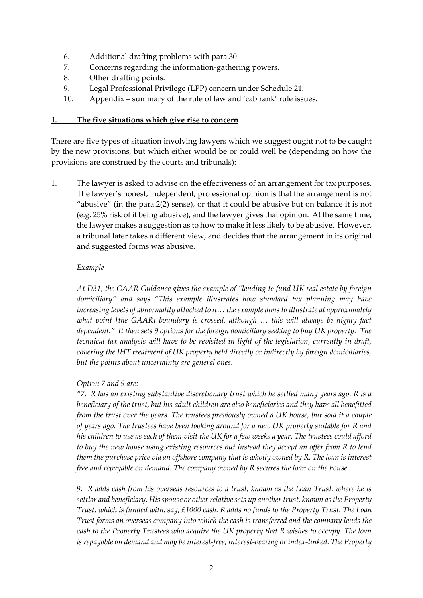- 6. Additional drafting problems with para.30
- 7. Concerns regarding the information-gathering powers.
- 8. Other drafting points.
- 9. Legal Professional Privilege (LPP) concern under Schedule 21.
- 10. Appendix summary of the rule of law and 'cab rank' rule issues.

#### **1. The five situations which give rise to concern**

There are five types of situation involving lawyers which we suggest ought not to be caught by the new provisions, but which either would be or could well be (depending on how the provisions are construed by the courts and tribunals):

1. The lawyer is asked to advise on the effectiveness of an arrangement for tax purposes. The lawyer's honest, independent, professional opinion is that the arrangement is not "abusive" (in the para. $2(2)$  sense), or that it could be abusive but on balance it is not (e.g. 25% risk of it being abusive), and the lawyer gives that opinion. At the same time, the lawyer makes a suggestion as to how to make it less likely to be abusive. However, a tribunal later takes a different view, and decides that the arrangement in its original and suggested forms was abusive.

### *Example*

*At D31, the GAAR Guidance gives the example of "lending to fund UK real estate by foreign domiciliary" and says "This example illustrates how standard tax planning may have increasing levels of abnormality attached to it… the example aims to illustrate at approximately what point [the GAAR] boundary is crossed, although … this will always be highly fact dependent." It then sets 9 options for the foreign domiciliary seeking to buy UK property. The technical tax analysis will have to be revisited in light of the legislation, currently in draft, covering the IHT treatment of UK property held directly or indirectly by foreign domiciliaries, but the points about uncertainty are general ones.*

### *Option 7 and 9 are:*

*"7. R has an existing substantive discretionary trust which he settled many years ago. R is a beneficiary of the trust, but his adult children are also beneficiaries and they have all benefitted from the trust over the years. The trustees previously owned a UK house, but sold it a couple of years ago. The trustees have been looking around for a new UK property suitable for R and his children to use as each of them visit the UK for a few weeks a year. The trustees could afford to buy the new house using existing resources but instead they accept an offer from R to lend them the purchase price via an offshore company that is wholly owned by R. The loan is interest free and repayable on demand. The company owned by R secures the loan on the house.*

*9. R adds cash from his overseas resources to a trust, known as the Loan Trust, where he is settlor and beneficiary. His spouse or other relative sets up another trust, known as the Property Trust, which is funded with, say, £1000 cash. R adds no funds to the Property Trust. The Loan Trust forms an overseas company into which the cash is transferred and the company lends the cash to the Property Trustees who acquire the UK property that R wishes to occupy. The loan is repayable on demand and may be interest-free, interest-bearing or index-linked. The Property*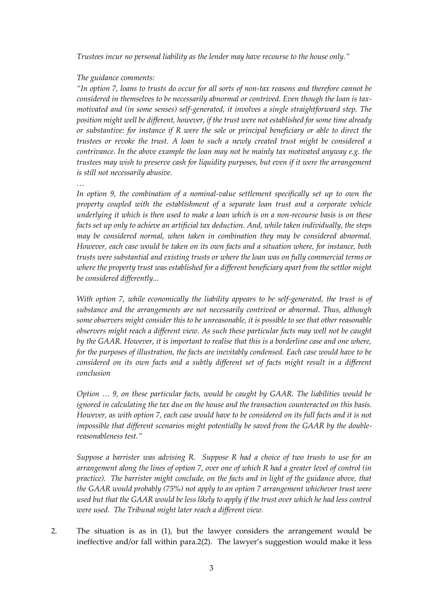*Trustees incur no personal liability as the lender may have recourse to the house only."*

#### *The guidance comments:*

*"In option 7, loans to trusts do occur for all sorts of non-tax reasons and therefore cannot be considered in themselves to be necessarily abnormal or contrived. Even though the loan is taxmotivated and (in some senses) self-generated, it involves a single straightforward step. The position might well be different, however, if the trust were not established for some time already or substantive: for instance if R were the sole or principal beneficiary or able to direct the trustees or revoke the trust. A loan to such a newly created trust might be considered a contrivance. In the above example the loan may not be mainly tax motivated anyway e.g. the trustees may wish to preserve cash for liquidity purposes, but even if it were the arrangement is still not necessarily abusive.*

*…*

*In option 9, the combination of a nominal-value settlement specifically set up to own the property coupled with the establishment of a separate loan trust and a corporate vehicle underlying it which is then used to make a loan which is on a non-recourse basis is on these facts set up only to achieve an artificial tax deduction. And, while taken individually, the steps may be considered normal, when taken in combination they may be considered abnormal. However, each case would be taken on its own facts and a situation where, for instance, both trusts were substantial and existing trusts or where the loan was on fully commercial terms or where the property trust was established for a different beneficiary apart from the settlor might be considered differently...*

*With option 7, while economically the liability appears to be self-generated, the trust is of substance and the arrangements are not necessarily contrived or abnormal. Thus, although some observers might consider this to be unreasonable, it is possible to see that other reasonable observers might reach a different view. As such these particular facts may well not be caught by the GAAR. However, it is important to realise that this is a borderline case and one where, for the purposes of illustration, the facts are inevitably condensed. Each case would have to be considered on its own facts and a subtly different set of facts might result in a different conclusion*

*Option … 9, on these particular facts, would be caught by GAAR. The liabilities would be ignored in calculating the tax due on the house and the transaction counteracted on this basis. However, as with option 7, each case would have to be considered on its full facts and it is not impossible that different scenarios might potentially be saved from the GAAR by the doublereasonableness test."*

*Suppose a barrister was advising R. Suppose R had a choice of two trusts to use for an arrangement along the lines of option 7, over one of which R had a greater level of control (in practice). The barrister might conclude, on the facts and in light of the guidance above, that the GAAR would probably (75%) not apply to an option 7 arrangement whichever trust were used but that the GAAR would be less likely to apply if the trust over which he had less control were used. The Tribunal might later reach a different view.*

2. The situation is as in (1), but the lawyer considers the arrangement would be ineffective and/or fall within para.2(2). The lawyer's suggestion would make it less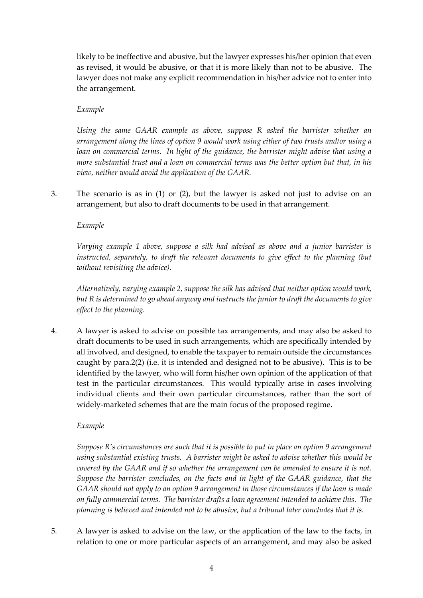likely to be ineffective and abusive, but the lawyer expresses his/her opinion that even as revised, it would be abusive, or that it is more likely than not to be abusive. The lawyer does not make any explicit recommendation in his/her advice not to enter into the arrangement.

### *Example*

*Using the same GAAR example as above, suppose R asked the barrister whether an arrangement along the lines of option 9 would work using either of two trusts and/or using a loan on commercial terms. In light of the guidance, the barrister might advise that using a more substantial trust and a loan on commercial terms was the better option but that, in his view, neither would avoid the application of the GAAR.*

3. The scenario is as in (1) or (2), but the lawyer is asked not just to advise on an arrangement, but also to draft documents to be used in that arrangement.

### *Example*

*Varying example 1 above, suppose a silk had advised as above and a junior barrister is instructed, separately, to draft the relevant documents to give effect to the planning (but without revisiting the advice).*

*Alternatively, varying example 2, suppose the silk has advised that neither option would work, but R is determined to go ahead anyway and instructs the junior to draft the documents to give effect to the planning.*

4. A lawyer is asked to advise on possible tax arrangements, and may also be asked to draft documents to be used in such arrangements, which are specifically intended by all involved, and designed, to enable the taxpayer to remain outside the circumstances caught by para.2(2) (i.e. it is intended and designed not to be abusive). This is to be identified by the lawyer, who will form his/her own opinion of the application of that test in the particular circumstances. This would typically arise in cases involving individual clients and their own particular circumstances, rather than the sort of widely-marketed schemes that are the main focus of the proposed regime.

# *Example*

*Suppose R's circumstances are such that it is possible to put in place an option 9 arrangement using substantial existing trusts. A barrister might be asked to advise whether this would be covered by the GAAR and if so whether the arrangement can be amended to ensure it is not. Suppose the barrister concludes, on the facts and in light of the GAAR guidance, that the GAAR should not apply to an option 9 arrangement in those circumstances if the loan is made on fully commercial terms. The barrister drafts a loan agreement intended to achieve this. The planning is believed and intended not to be abusive, but a tribunal later concludes that it is.*

5. A lawyer is asked to advise on the law, or the application of the law to the facts, in relation to one or more particular aspects of an arrangement, and may also be asked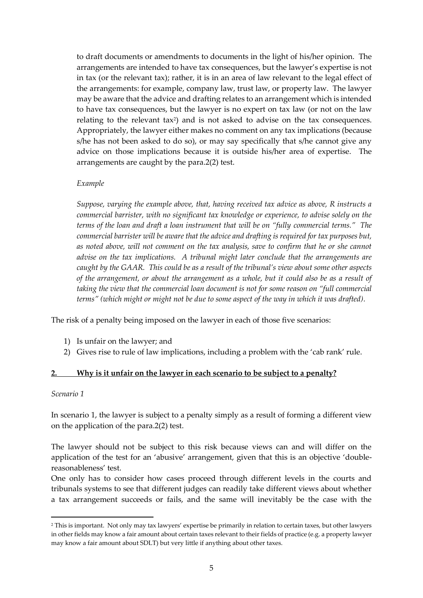to draft documents or amendments to documents in the light of his/her opinion. The arrangements are intended to have tax consequences, but the lawyer's expertise is not in tax (or the relevant tax); rather, it is in an area of law relevant to the legal effect of the arrangements: for example, company law, trust law, or property law. The lawyer may be aware that the advice and drafting relates to an arrangement which is intended to have tax consequences, but the lawyer is no expert on tax law (or not on the law relating to the relevant tax<sup>2</sup> ) and is not asked to advise on the tax consequences. Appropriately, the lawyer either makes no comment on any tax implications (because s/he has not been asked to do so), or may say specifically that s/he cannot give any advice on those implications because it is outside his/her area of expertise. The arrangements are caught by the para.2(2) test.

### *Example*

*Suppose, varying the example above, that, having received tax advice as above, R instructs a commercial barrister, with no significant tax knowledge or experience, to advise solely on the terms of the loan and draft a loan instrument that will be on "fully commercial terms." The commercial barrister will be aware that the advice and drafting is required for tax purposes but, as noted above, will not comment on the tax analysis, save to confirm that he or she cannot advise on the tax implications. A tribunal might later conclude that the arrangements are caught by the GAAR. This could be as a result of the tribunal's view about some other aspects of the arrangement, or about the arrangement as a whole, but it could also be as a result of taking the view that the commercial loan document is not for some reason on "full commercial terms" (which might or might not be due to some aspect of the way in which it was drafted).*

The risk of a penalty being imposed on the lawyer in each of those five scenarios:

- 1) Is unfair on the lawyer; and
- 2) Gives rise to rule of law implications, including a problem with the 'cab rank' rule.

# **2. Why is it unfair on the lawyer in each scenario to be subject to a penalty?**

### *Scenario 1*

**.** 

In scenario 1, the lawyer is subject to a penalty simply as a result of forming a different view on the application of the para.2(2) test.

The lawyer should not be subject to this risk because views can and will differ on the application of the test for an 'abusive' arrangement, given that this is an objective 'doublereasonableness' test.

One only has to consider how cases proceed through different levels in the courts and tribunals systems to see that different judges can readily take different views about whether a tax arrangement succeeds or fails, and the same will inevitably be the case with the

<sup>2</sup> This is important. Not only may tax lawyers' expertise be primarily in relation to certain taxes, but other lawyers in other fields may know a fair amount about certain taxes relevant to their fields of practice (e.g. a property lawyer may know a fair amount about SDLT) but very little if anything about other taxes.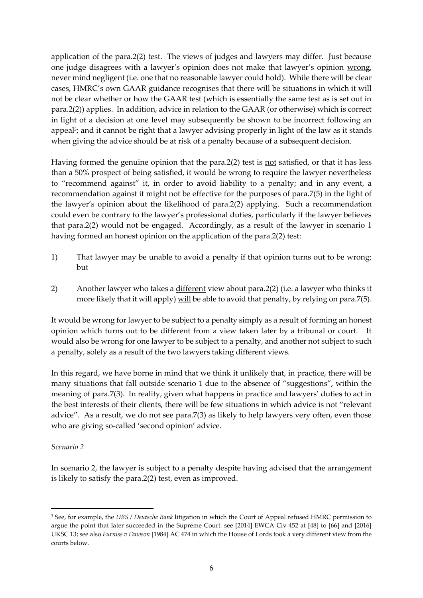application of the para.2(2) test. The views of judges and lawyers may differ. Just because one judge disagrees with a lawyer's opinion does not make that lawyer's opinion wrong, never mind negligent (i.e. one that no reasonable lawyer could hold). While there will be clear cases, HMRC's own GAAR guidance recognises that there will be situations in which it will not be clear whether or how the GAAR test (which is essentially the same test as is set out in para.2(2)) applies. In addition, advice in relation to the GAAR (or otherwise) which is correct in light of a decision at one level may subsequently be shown to be incorrect following an appeal<sup>3</sup>; and it cannot be right that a lawyer advising properly in light of the law as it stands when giving the advice should be at risk of a penalty because of a subsequent decision.

Having formed the genuine opinion that the para.2(2) test is not satisfied, or that it has less than a 50% prospect of being satisfied, it would be wrong to require the lawyer nevertheless to "recommend against" it, in order to avoid liability to a penalty; and in any event, a recommendation against it might not be effective for the purposes of para.7(5) in the light of the lawyer's opinion about the likelihood of para.2(2) applying. Such a recommendation could even be contrary to the lawyer's professional duties, particularly if the lawyer believes that para.2(2) would not be engaged. Accordingly, as a result of the lawyer in scenario 1 having formed an honest opinion on the application of the para.2(2) test:

- 1) That lawyer may be unable to avoid a penalty if that opinion turns out to be wrong; but
- 2) Another lawyer who takes a different view about para.2(2) (i.e. a lawyer who thinks it more likely that it will apply) will be able to avoid that penalty, by relying on para.7(5).

It would be wrong for lawyer to be subject to a penalty simply as a result of forming an honest opinion which turns out to be different from a view taken later by a tribunal or court. It would also be wrong for one lawyer to be subject to a penalty, and another not subject to such a penalty, solely as a result of the two lawyers taking different views.

In this regard, we have borne in mind that we think it unlikely that, in practice, there will be many situations that fall outside scenario 1 due to the absence of "suggestions", within the meaning of para.7(3). In reality, given what happens in practice and lawyers' duties to act in the best interests of their clients, there will be few situations in which advice is not "relevant advice". As a result, we do not see para.7(3) as likely to help lawyers very often, even those who are giving so-called 'second opinion' advice.

# *Scenario 2*

**.** 

In scenario 2, the lawyer is subject to a penalty despite having advised that the arrangement is likely to satisfy the para.2(2) test, even as improved.

<sup>3</sup> See, for example, the *UBS / Deutsche Bank* litigation in which the Court of Appeal refused HMRC permission to argue the point that later succeeded in the Supreme Court: see [2014] EWCA Civ 452 at [48] to [66] and [2016] UKSC 13; see also *Furniss v Dawson* [1984] AC 474 in which the House of Lords took a very different view from the courts below.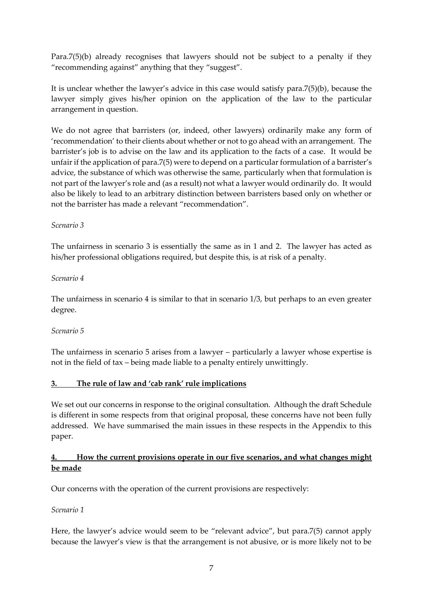Para.7(5)(b) already recognises that lawyers should not be subject to a penalty if they "recommending against" anything that they "suggest".

It is unclear whether the lawyer's advice in this case would satisfy para.7(5)(b), because the lawyer simply gives his/her opinion on the application of the law to the particular arrangement in question.

We do not agree that barristers (or, indeed, other lawyers) ordinarily make any form of 'recommendation' to their clients about whether or not to go ahead with an arrangement. The barrister's job is to advise on the law and its application to the facts of a case. It would be unfair if the application of para.7(5) were to depend on a particular formulation of a barrister's advice, the substance of which was otherwise the same, particularly when that formulation is not part of the lawyer's role and (as a result) not what a lawyer would ordinarily do. It would also be likely to lead to an arbitrary distinction between barristers based only on whether or not the barrister has made a relevant "recommendation".

### *Scenario 3*

The unfairness in scenario 3 is essentially the same as in 1 and 2. The lawyer has acted as his/her professional obligations required, but despite this, is at risk of a penalty.

### *Scenario 4*

The unfairness in scenario 4 is similar to that in scenario 1/3, but perhaps to an even greater degree.

### *Scenario 5*

The unfairness in scenario 5 arises from a lawyer – particularly a lawyer whose expertise is not in the field of tax – being made liable to a penalty entirely unwittingly.

# **3. The rule of law and 'cab rank' rule implications**

We set out our concerns in response to the original consultation. Although the draft Schedule is different in some respects from that original proposal, these concerns have not been fully addressed. We have summarised the main issues in these respects in the Appendix to this paper.

# **4. How the current provisions operate in our five scenarios, and what changes might be made**

Our concerns with the operation of the current provisions are respectively:

*Scenario 1*

Here, the lawyer's advice would seem to be "relevant advice", but para.7(5) cannot apply because the lawyer's view is that the arrangement is not abusive, or is more likely not to be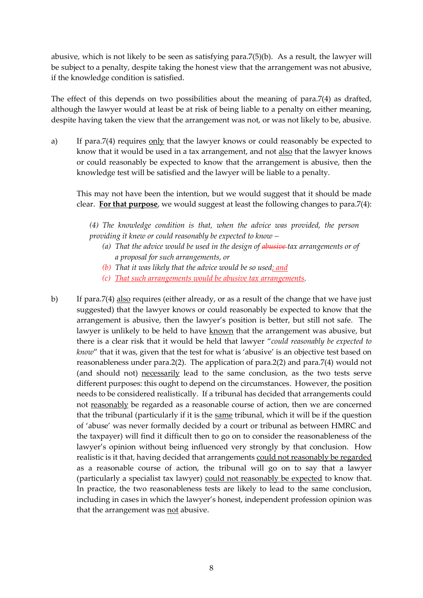abusive, which is not likely to be seen as satisfying para.7(5)(b). As a result, the lawyer will be subject to a penalty, despite taking the honest view that the arrangement was not abusive, if the knowledge condition is satisfied.

The effect of this depends on two possibilities about the meaning of para.7(4) as drafted, although the lawyer would at least be at risk of being liable to a penalty on either meaning, despite having taken the view that the arrangement was not, or was not likely to be, abusive.

a) If para.7(4) requires only that the lawyer knows or could reasonably be expected to know that it would be used in a tax arrangement, and not also that the lawyer knows or could reasonably be expected to know that the arrangement is abusive, then the knowledge test will be satisfied and the lawyer will be liable to a penalty.

This may not have been the intention, but we would suggest that it should be made clear. **For that purpose**, we would suggest at least the following changes to para.7(4):

*(4) The knowledge condition is that, when the advice was provided, the person providing it knew or could reasonably be expected to know –*

- *(a) That the advice would be used in the design of abusive tax arrangements or of a proposal for such arrangements, or*
- *(b) That it was likely that the advice would be so used; and*
- *(c) That such arrangements would be abusive tax arrangements.*
- b) If para.7(4) also requires (either already, or as a result of the change that we have just suggested) that the lawyer knows or could reasonably be expected to know that the arrangement is abusive, then the lawyer's position is better, but still not safe. The lawyer is unlikely to be held to have known that the arrangement was abusive, but there is a clear risk that it would be held that lawyer "*could reasonably be expected to know*" that it was, given that the test for what is 'abusive' is an objective test based on reasonableness under para.2(2). The application of para.2(2) and para.7(4) would not (and should not) necessarily lead to the same conclusion, as the two tests serve different purposes: this ought to depend on the circumstances. However, the position needs to be considered realistically. If a tribunal has decided that arrangements could not reasonably be regarded as a reasonable course of action, then we are concerned that the tribunal (particularly if it is the same tribunal, which it will be if the question of 'abuse' was never formally decided by a court or tribunal as between HMRC and the taxpayer) will find it difficult then to go on to consider the reasonableness of the lawyer's opinion without being influenced very strongly by that conclusion. How realistic is it that, having decided that arrangements could not reasonably be regarded as a reasonable course of action, the tribunal will go on to say that a lawyer (particularly a specialist tax lawyer) could not reasonably be expected to know that. In practice, the two reasonableness tests are likely to lead to the same conclusion, including in cases in which the lawyer's honest, independent profession opinion was that the arrangement was not abusive.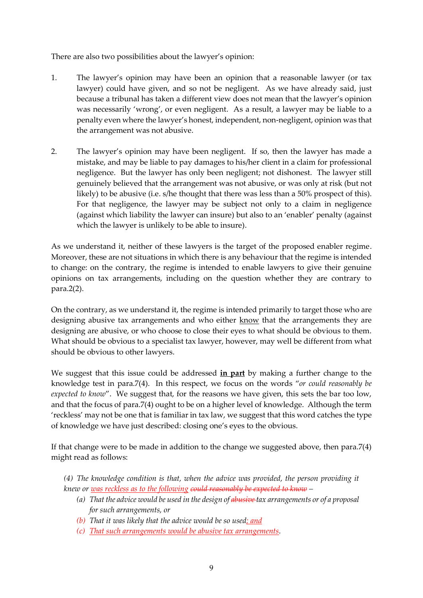There are also two possibilities about the lawyer's opinion:

- 1. The lawyer's opinion may have been an opinion that a reasonable lawyer (or tax lawyer) could have given, and so not be negligent. As we have already said, just because a tribunal has taken a different view does not mean that the lawyer's opinion was necessarily 'wrong', or even negligent. As a result, a lawyer may be liable to a penalty even where the lawyer's honest, independent, non-negligent, opinion was that the arrangement was not abusive.
- 2. The lawyer's opinion may have been negligent. If so, then the lawyer has made a mistake, and may be liable to pay damages to his/her client in a claim for professional negligence. But the lawyer has only been negligent; not dishonest. The lawyer still genuinely believed that the arrangement was not abusive, or was only at risk (but not likely) to be abusive (i.e. s/he thought that there was less than a 50% prospect of this). For that negligence, the lawyer may be subject not only to a claim in negligence (against which liability the lawyer can insure) but also to an 'enabler' penalty (against which the lawyer is unlikely to be able to insure).

As we understand it, neither of these lawyers is the target of the proposed enabler regime. Moreover, these are not situations in which there is any behaviour that the regime is intended to change: on the contrary, the regime is intended to enable lawyers to give their genuine opinions on tax arrangements, including on the question whether they are contrary to para.2(2).

On the contrary, as we understand it, the regime is intended primarily to target those who are designing abusive tax arrangements and who either know that the arrangements they are designing are abusive, or who choose to close their eyes to what should be obvious to them. What should be obvious to a specialist tax lawyer, however, may well be different from what should be obvious to other lawyers.

We suggest that this issue could be addressed **in part** by making a further change to the knowledge test in para.7(4). In this respect, we focus on the words "*or could reasonably be expected to know*". We suggest that, for the reasons we have given, this sets the bar too low, and that the focus of para.7(4) ought to be on a higher level of knowledge. Although the term 'reckless' may not be one that is familiar in tax law, we suggest that this word catches the type of knowledge we have just described: closing one's eyes to the obvious.

If that change were to be made in addition to the change we suggested above, then para.7(4) might read as follows:

- *(4) The knowledge condition is that, when the advice was provided, the person providing it knew or was reckless as to the following could reasonably be expected to know –*
	- *(a) That the advice would be used in the design of abusive tax arrangements or of a proposal for such arrangements, or*
	- *(b) That it was likely that the advice would be so used; and*
	- *(c) That such arrangements would be abusive tax arrangements.*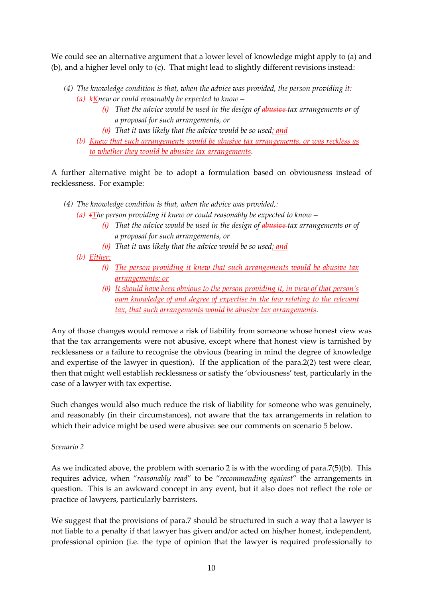We could see an alternative argument that a lower level of knowledge might apply to (a) and (b), and a higher level only to (c). That might lead to slightly different revisions instead:

- *(4) The knowledge condition is that, when the advice was provided, the person providing it: (a) kKnew or could reasonably be expected to know –*
	- *(i) That the advice would be used in the design of abusive tax arrangements or of a proposal for such arrangements, or*
	- *(ii) That it was likely that the advice would be so used; and*
	- *(b) Knew that such arrangements would be abusive tax arrangements, or was reckless as to whether they would be abusive tax arrangements.*

A further alternative might be to adopt a formulation based on obviousness instead of recklessness. For example:

- *(4) The knowledge condition is that, when the advice was provided,:*
	- *(a) tThe person providing it knew or could reasonably be expected to know –*
		- *(i) That the advice would be used in the design of abusive tax arrangements or of a proposal for such arrangements, or*
		- *(ii) That it was likely that the advice would be so used; and*
	- *(b) Either:*
		- *(i) The person providing it knew that such arrangements would be abusive tax arrangements; or*
		- *(ii) It should have been obvious to the person providing it, in view of that person's own knowledge of and degree of expertise in the law relating to the relevant tax, that such arrangements would be abusive tax arrangements.*

Any of those changes would remove a risk of liability from someone whose honest view was that the tax arrangements were not abusive, except where that honest view is tarnished by recklessness or a failure to recognise the obvious (bearing in mind the degree of knowledge and expertise of the lawyer in question). If the application of the para.2(2) test were clear, then that might well establish recklessness or satisfy the 'obviousness' test, particularly in the case of a lawyer with tax expertise.

Such changes would also much reduce the risk of liability for someone who was genuinely, and reasonably (in their circumstances), not aware that the tax arrangements in relation to which their advice might be used were abusive: see our comments on scenario 5 below.

### *Scenario 2*

As we indicated above, the problem with scenario 2 is with the wording of para.7(5)(b). This requires advice, when "*reasonably read*" to be "*recommending against*" the arrangements in question. This is an awkward concept in any event, but it also does not reflect the role or practice of lawyers, particularly barristers.

We suggest that the provisions of para.7 should be structured in such a way that a lawyer is not liable to a penalty if that lawyer has given and/or acted on his/her honest, independent, professional opinion (i.e. the type of opinion that the lawyer is required professionally to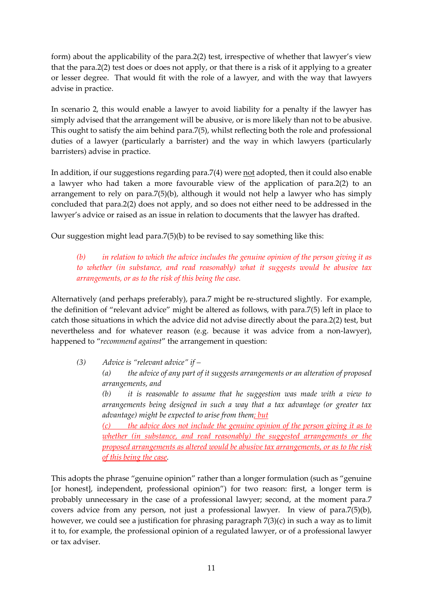form) about the applicability of the para.2(2) test, irrespective of whether that lawyer's view that the para.2(2) test does or does not apply, or that there is a risk of it applying to a greater or lesser degree. That would fit with the role of a lawyer, and with the way that lawyers advise in practice.

In scenario 2, this would enable a lawyer to avoid liability for a penalty if the lawyer has simply advised that the arrangement will be abusive, or is more likely than not to be abusive. This ought to satisfy the aim behind para.7(5), whilst reflecting both the role and professional duties of a lawyer (particularly a barrister) and the way in which lawyers (particularly barristers) advise in practice.

In addition, if our suggestions regarding para.7 $(4)$  were not adopted, then it could also enable a lawyer who had taken a more favourable view of the application of para.2(2) to an arrangement to rely on para.7(5)(b), although it would not help a lawyer who has simply concluded that para.2(2) does not apply, and so does not either need to be addressed in the lawyer's advice or raised as an issue in relation to documents that the lawyer has drafted.

Our suggestion might lead para.7(5)(b) to be revised to say something like this:

*(b) in relation to which the advice includes the genuine opinion of the person giving it as to whether (in substance, and read reasonably) what it suggests would be abusive tax arrangements, or as to the risk of this being the case.*

Alternatively (and perhaps preferably), para.7 might be re-structured slightly. For example, the definition of "relevant advice" might be altered as follows, with para.7(5) left in place to catch those situations in which the advice did not advise directly about the para.2(2) test, but nevertheless and for whatever reason (e.g. because it was advice from a non-lawyer), happened to "*recommend against*" the arrangement in question:

*(3) Advice is "relevant advice" if – (a) the advice of any part of it suggests arrangements or an alteration of proposed arrangements, and*

*(b) it is reasonable to assume that he suggestion was made with a view to arrangements being designed in such a way that a tax advantage (or greater tax advantage) might be expected to arise from them; but*

*(c) the advice does not include the genuine opinion of the person giving it as to whether (in substance, and read reasonably) the suggested arrangements or the proposed arrangements as altered would be abusive tax arrangements, or as to the risk of this being the case.*

This adopts the phrase "genuine opinion" rather than a longer formulation (such as "genuine [or honest], independent, professional opinion") for two reason: first, a longer term is probably unnecessary in the case of a professional lawyer; second, at the moment para.7 covers advice from any person, not just a professional lawyer. In view of para.7(5)(b), however, we could see a justification for phrasing paragraph 7(3)(c) in such a way as to limit it to, for example, the professional opinion of a regulated lawyer, or of a professional lawyer or tax adviser.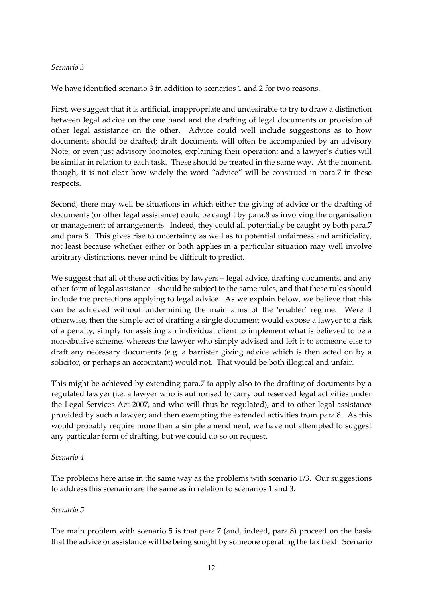### *Scenario 3*

We have identified scenario 3 in addition to scenarios 1 and 2 for two reasons.

First, we suggest that it is artificial, inappropriate and undesirable to try to draw a distinction between legal advice on the one hand and the drafting of legal documents or provision of other legal assistance on the other. Advice could well include suggestions as to how documents should be drafted; draft documents will often be accompanied by an advisory Note, or even just advisory footnotes, explaining their operation; and a lawyer's duties will be similar in relation to each task. These should be treated in the same way. At the moment, though, it is not clear how widely the word "advice" will be construed in para.7 in these respects.

Second, there may well be situations in which either the giving of advice or the drafting of documents (or other legal assistance) could be caught by para.8 as involving the organisation or management of arrangements. Indeed, they could all potentially be caught by both para.7 and para.8. This gives rise to uncertainty as well as to potential unfairness and artificiality, not least because whether either or both applies in a particular situation may well involve arbitrary distinctions, never mind be difficult to predict.

We suggest that all of these activities by lawyers – legal advice, drafting documents, and any other form of legal assistance – should be subject to the same rules, and that these rules should include the protections applying to legal advice. As we explain below, we believe that this can be achieved without undermining the main aims of the 'enabler' regime. Were it otherwise, then the simple act of drafting a single document would expose a lawyer to a risk of a penalty, simply for assisting an individual client to implement what is believed to be a non-abusive scheme, whereas the lawyer who simply advised and left it to someone else to draft any necessary documents (e.g. a barrister giving advice which is then acted on by a solicitor, or perhaps an accountant) would not. That would be both illogical and unfair.

This might be achieved by extending para.7 to apply also to the drafting of documents by a regulated lawyer (i.e. a lawyer who is authorised to carry out reserved legal activities under the Legal Services Act 2007, and who will thus be regulated), and to other legal assistance provided by such a lawyer; and then exempting the extended activities from para.8. As this would probably require more than a simple amendment, we have not attempted to suggest any particular form of drafting, but we could do so on request.

### *Scenario 4*

The problems here arise in the same way as the problems with scenario 1/3. Our suggestions to address this scenario are the same as in relation to scenarios 1 and 3.

# *Scenario 5*

The main problem with scenario 5 is that para.7 (and, indeed, para.8) proceed on the basis that the advice or assistance will be being sought by someone operating the tax field. Scenario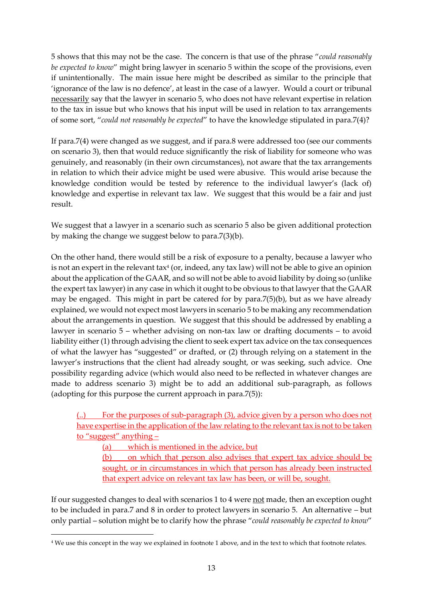5 shows that this may not be the case. The concern is that use of the phrase "*could reasonably be expected to know*" might bring lawyer in scenario 5 within the scope of the provisions, even if unintentionally. The main issue here might be described as similar to the principle that 'ignorance of the law is no defence', at least in the case of a lawyer. Would a court or tribunal necessarily say that the lawyer in scenario 5, who does not have relevant expertise in relation to the tax in issue but who knows that his input will be used in relation to tax arrangements of some sort, "*could not reasonably be expected*" to have the knowledge stipulated in para.7(4)?

If para.7(4) were changed as we suggest, and if para.8 were addressed too (see our comments on scenario 3), then that would reduce significantly the risk of liability for someone who was genuinely, and reasonably (in their own circumstances), not aware that the tax arrangements in relation to which their advice might be used were abusive. This would arise because the knowledge condition would be tested by reference to the individual lawyer's (lack of) knowledge and expertise in relevant tax law. We suggest that this would be a fair and just result.

We suggest that a lawyer in a scenario such as scenario 5 also be given additional protection by making the change we suggest below to para.7(3)(b).

On the other hand, there would still be a risk of exposure to a penalty, because a lawyer who is not an expert in the relevant tax $4$  (or, indeed, any tax law) will not be able to give an opinion about the application of the GAAR, and so will not be able to avoid liability by doing so (unlike the expert tax lawyer) in any case in which it ought to be obvious to that lawyer that the GAAR may be engaged. This might in part be catered for by para.7(5)(b), but as we have already explained, we would not expect most lawyers in scenario 5 to be making any recommendation about the arrangements in question. We suggest that this should be addressed by enabling a lawyer in scenario 5 – whether advising on non-tax law or drafting documents – to avoid liability either (1) through advising the client to seek expert tax advice on the tax consequences of what the lawyer has "suggested" or drafted, or (2) through relying on a statement in the lawyer's instructions that the client had already sought, or was seeking, such advice. One possibility regarding advice (which would also need to be reflected in whatever changes are made to address scenario 3) might be to add an additional sub-paragraph, as follows (adopting for this purpose the current approach in para.7(5)):

(..) For the purposes of sub-paragraph (3), advice given by a person who does not have expertise in the application of the law relating to the relevant tax is not to be taken to "suggest" anything –

(a) which is mentioned in the advice, but

**.** 

(b) on which that person also advises that expert tax advice should be sought, or in circumstances in which that person has already been instructed that expert advice on relevant tax law has been, or will be, sought.

If our suggested changes to deal with scenarios 1 to 4 were not made, then an exception ought to be included in para.7 and 8 in order to protect lawyers in scenario 5. An alternative – but only partial – solution might be to clarify how the phrase "*could reasonably be expected to know*"

<sup>&</sup>lt;sup>4</sup> We use this concept in the way we explained in footnote 1 above, and in the text to which that footnote relates.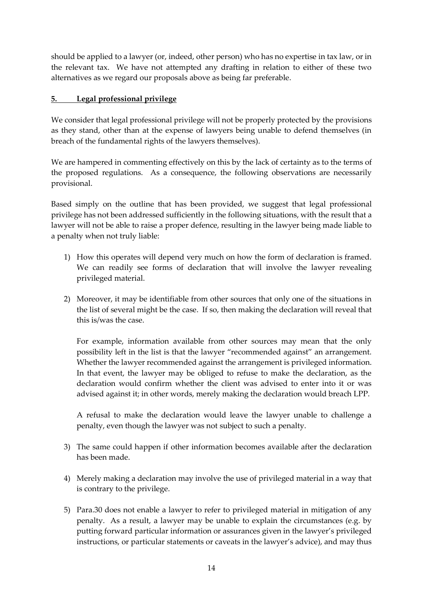should be applied to a lawyer (or, indeed, other person) who has no expertise in tax law, or in the relevant tax. We have not attempted any drafting in relation to either of these two alternatives as we regard our proposals above as being far preferable.

# **5. Legal professional privilege**

We consider that legal professional privilege will not be properly protected by the provisions as they stand, other than at the expense of lawyers being unable to defend themselves (in breach of the fundamental rights of the lawyers themselves).

We are hampered in commenting effectively on this by the lack of certainty as to the terms of the proposed regulations. As a consequence, the following observations are necessarily provisional.

Based simply on the outline that has been provided, we suggest that legal professional privilege has not been addressed sufficiently in the following situations, with the result that a lawyer will not be able to raise a proper defence, resulting in the lawyer being made liable to a penalty when not truly liable:

- 1) How this operates will depend very much on how the form of declaration is framed. We can readily see forms of declaration that will involve the lawyer revealing privileged material.
- 2) Moreover, it may be identifiable from other sources that only one of the situations in the list of several might be the case. If so, then making the declaration will reveal that this is/was the case.

For example, information available from other sources may mean that the only possibility left in the list is that the lawyer "recommended against" an arrangement. Whether the lawyer recommended against the arrangement is privileged information. In that event, the lawyer may be obliged to refuse to make the declaration, as the declaration would confirm whether the client was advised to enter into it or was advised against it; in other words, merely making the declaration would breach LPP.

A refusal to make the declaration would leave the lawyer unable to challenge a penalty, even though the lawyer was not subject to such a penalty.

- 3) The same could happen if other information becomes available after the declaration has been made.
- 4) Merely making a declaration may involve the use of privileged material in a way that is contrary to the privilege.
- 5) Para.30 does not enable a lawyer to refer to privileged material in mitigation of any penalty. As a result, a lawyer may be unable to explain the circumstances (e.g. by putting forward particular information or assurances given in the lawyer's privileged instructions, or particular statements or caveats in the lawyer's advice), and may thus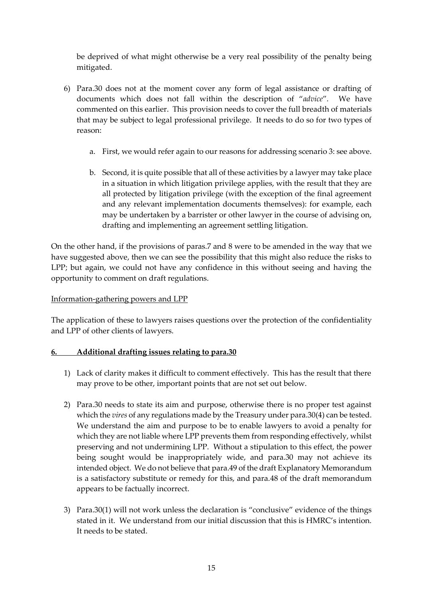be deprived of what might otherwise be a very real possibility of the penalty being mitigated.

- 6) Para.30 does not at the moment cover any form of legal assistance or drafting of documents which does not fall within the description of "*advice*". We have commented on this earlier. This provision needs to cover the full breadth of materials that may be subject to legal professional privilege. It needs to do so for two types of reason:
	- a. First, we would refer again to our reasons for addressing scenario 3: see above.
	- b. Second, it is quite possible that all of these activities by a lawyer may take place in a situation in which litigation privilege applies, with the result that they are all protected by litigation privilege (with the exception of the final agreement and any relevant implementation documents themselves): for example, each may be undertaken by a barrister or other lawyer in the course of advising on, drafting and implementing an agreement settling litigation.

On the other hand, if the provisions of paras.7 and 8 were to be amended in the way that we have suggested above, then we can see the possibility that this might also reduce the risks to LPP; but again, we could not have any confidence in this without seeing and having the opportunity to comment on draft regulations.

### Information-gathering powers and LPP

The application of these to lawyers raises questions over the protection of the confidentiality and LPP of other clients of lawyers.

### **6. Additional drafting issues relating to para.30**

- 1) Lack of clarity makes it difficult to comment effectively. This has the result that there may prove to be other, important points that are not set out below.
- 2) Para.30 needs to state its aim and purpose, otherwise there is no proper test against which the *vires* of any regulations made by the Treasury under para.30(4) can be tested. We understand the aim and purpose to be to enable lawyers to avoid a penalty for which they are not liable where LPP prevents them from responding effectively, whilst preserving and not undermining LPP. Without a stipulation to this effect, the power being sought would be inappropriately wide, and para.30 may not achieve its intended object. We do not believe that para.49 of the draft Explanatory Memorandum is a satisfactory substitute or remedy for this, and para.48 of the draft memorandum appears to be factually incorrect.
- 3) Para.30(1) will not work unless the declaration is "conclusive" evidence of the things stated in it. We understand from our initial discussion that this is HMRC's intention. It needs to be stated.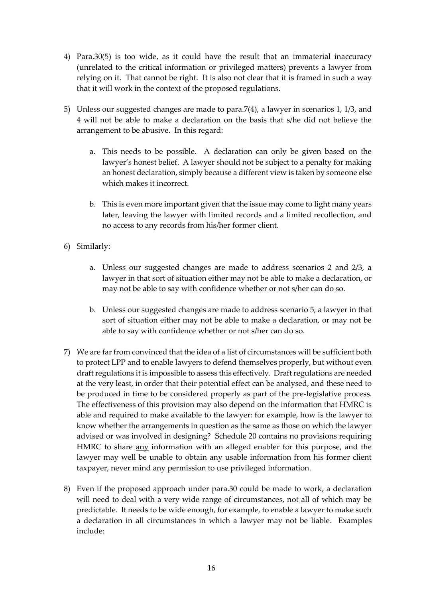- 4) Para.30(5) is too wide, as it could have the result that an immaterial inaccuracy (unrelated to the critical information or privileged matters) prevents a lawyer from relying on it. That cannot be right. It is also not clear that it is framed in such a way that it will work in the context of the proposed regulations.
- 5) Unless our suggested changes are made to para.7(4), a lawyer in scenarios 1, 1/3, and 4 will not be able to make a declaration on the basis that s/he did not believe the arrangement to be abusive. In this regard:
	- a. This needs to be possible. A declaration can only be given based on the lawyer's honest belief. A lawyer should not be subject to a penalty for making an honest declaration, simply because a different view is taken by someone else which makes it incorrect.
	- b. This is even more important given that the issue may come to light many years later, leaving the lawyer with limited records and a limited recollection, and no access to any records from his/her former client.
- 6) Similarly:
	- a. Unless our suggested changes are made to address scenarios 2 and 2/3, a lawyer in that sort of situation either may not be able to make a declaration, or may not be able to say with confidence whether or not s/her can do so.
	- b. Unless our suggested changes are made to address scenario 5, a lawyer in that sort of situation either may not be able to make a declaration, or may not be able to say with confidence whether or not s/her can do so.
- 7) We are far from convinced that the idea of a list of circumstances will be sufficient both to protect LPP and to enable lawyers to defend themselves properly, but without even draft regulations it is impossible to assess this effectively. Draft regulations are needed at the very least, in order that their potential effect can be analysed, and these need to be produced in time to be considered properly as part of the pre-legislative process. The effectiveness of this provision may also depend on the information that HMRC is able and required to make available to the lawyer: for example, how is the lawyer to know whether the arrangements in question as the same as those on which the lawyer advised or was involved in designing? Schedule 20 contains no provisions requiring HMRC to share any information with an alleged enabler for this purpose, and the lawyer may well be unable to obtain any usable information from his former client taxpayer, never mind any permission to use privileged information.
- 8) Even if the proposed approach under para.30 could be made to work, a declaration will need to deal with a very wide range of circumstances, not all of which may be predictable. It needs to be wide enough, for example, to enable a lawyer to make such a declaration in all circumstances in which a lawyer may not be liable. Examples include: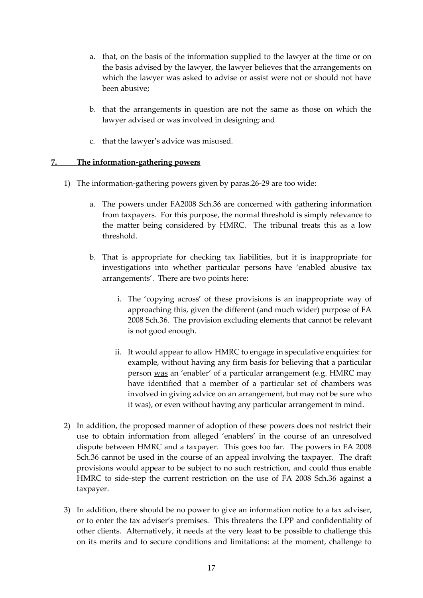- a. that, on the basis of the information supplied to the lawyer at the time or on the basis advised by the lawyer, the lawyer believes that the arrangements on which the lawyer was asked to advise or assist were not or should not have been abusive;
- b. that the arrangements in question are not the same as those on which the lawyer advised or was involved in designing; and
- c. that the lawyer's advice was misused.

### **7. The information-gathering powers**

- 1) The information-gathering powers given by paras.26-29 are too wide:
	- a. The powers under FA2008 Sch.36 are concerned with gathering information from taxpayers. For this purpose, the normal threshold is simply relevance to the matter being considered by HMRC. The tribunal treats this as a low threshold.
	- b. That is appropriate for checking tax liabilities, but it is inappropriate for investigations into whether particular persons have 'enabled abusive tax arrangements'. There are two points here:
		- i. The 'copying across' of these provisions is an inappropriate way of approaching this, given the different (and much wider) purpose of FA 2008 Sch.36. The provision excluding elements that cannot be relevant is not good enough.
		- ii. It would appear to allow HMRC to engage in speculative enquiries: for example, without having any firm basis for believing that a particular person was an 'enabler' of a particular arrangement (e.g. HMRC may have identified that a member of a particular set of chambers was involved in giving advice on an arrangement, but may not be sure who it was), or even without having any particular arrangement in mind.
- 2) In addition, the proposed manner of adoption of these powers does not restrict their use to obtain information from alleged 'enablers' in the course of an unresolved dispute between HMRC and a taxpayer. This goes too far. The powers in FA 2008 Sch.36 cannot be used in the course of an appeal involving the taxpayer. The draft provisions would appear to be subject to no such restriction, and could thus enable HMRC to side-step the current restriction on the use of FA 2008 Sch.36 against a taxpayer.
- 3) In addition, there should be no power to give an information notice to a tax adviser, or to enter the tax adviser's premises. This threatens the LPP and confidentiality of other clients. Alternatively, it needs at the very least to be possible to challenge this on its merits and to secure conditions and limitations: at the moment, challenge to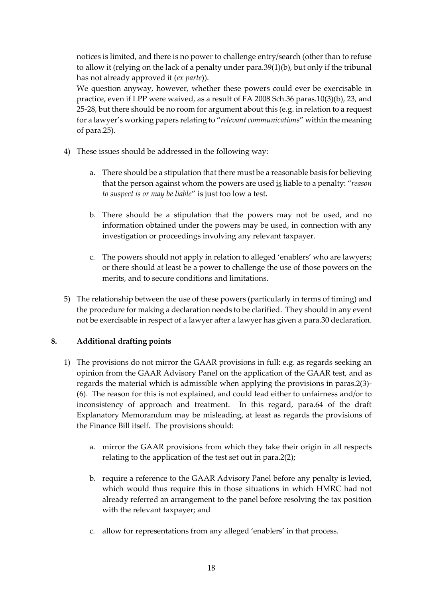notices is limited, and there is no power to challenge entry/search (other than to refuse to allow it (relying on the lack of a penalty under para.39(1)(b), but only if the tribunal has not already approved it (*ex parte*)).

We question anyway, however, whether these powers could ever be exercisable in practice, even if LPP were waived, as a result of FA 2008 Sch.36 paras.10(3)(b), 23, and 25-28, but there should be no room for argument about this (e.g. in relation to a request for a lawyer's working papers relating to "*relevant communications*" within the meaning of para.25).

- 4) These issues should be addressed in the following way:
	- a. There should be a stipulation that there must be a reasonable basis for believing that the person against whom the powers are used is liable to a penalty: "*reason to suspect is or may be liable*" is just too low a test.
	- b. There should be a stipulation that the powers may not be used, and no information obtained under the powers may be used, in connection with any investigation or proceedings involving any relevant taxpayer.
	- c. The powers should not apply in relation to alleged 'enablers' who are lawyers; or there should at least be a power to challenge the use of those powers on the merits, and to secure conditions and limitations.
- 5) The relationship between the use of these powers (particularly in terms of timing) and the procedure for making a declaration needs to be clarified. They should in any event not be exercisable in respect of a lawyer after a lawyer has given a para.30 declaration.

# **8. Additional drafting points**

- 1) The provisions do not mirror the GAAR provisions in full: e.g. as regards seeking an opinion from the GAAR Advisory Panel on the application of the GAAR test, and as regards the material which is admissible when applying the provisions in paras.2(3)- (6). The reason for this is not explained, and could lead either to unfairness and/or to inconsistency of approach and treatment. In this regard, para.64 of the draft Explanatory Memorandum may be misleading, at least as regards the provisions of the Finance Bill itself. The provisions should:
	- a. mirror the GAAR provisions from which they take their origin in all respects relating to the application of the test set out in para.2(2);
	- b. require a reference to the GAAR Advisory Panel before any penalty is levied, which would thus require this in those situations in which HMRC had not already referred an arrangement to the panel before resolving the tax position with the relevant taxpayer; and
	- c. allow for representations from any alleged 'enablers' in that process.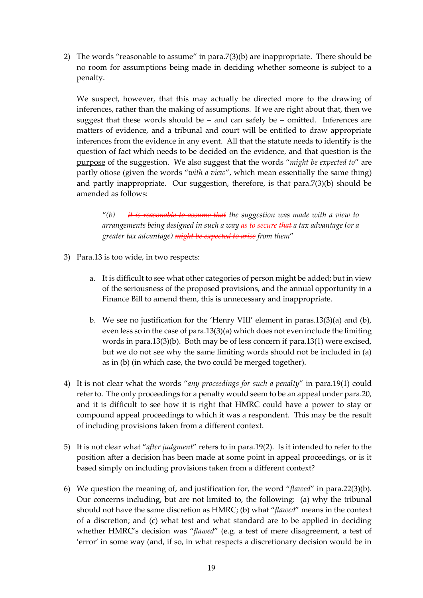2) The words "reasonable to assume" in para.7(3)(b) are inappropriate. There should be no room for assumptions being made in deciding whether someone is subject to a penalty.

We suspect, however, that this may actually be directed more to the drawing of inferences, rather than the making of assumptions. If we are right about that, then we suggest that these words should be – and can safely be – omitted. Inferences are matters of evidence, and a tribunal and court will be entitled to draw appropriate inferences from the evidence in any event. All that the statute needs to identify is the question of fact which needs to be decided on the evidence, and that question is the purpose of the suggestion. We also suggest that the words "*might be expected to*" are partly otiose (given the words "*with a view*", which mean essentially the same thing) and partly inappropriate. Our suggestion, therefore, is that para.7(3)(b) should be amended as follows:

"*(b) it is reasonable to assume that the suggestion was made with a view to arrangements being designed in such a way as to secure that a tax advantage (or a greater tax advantage) might be expected to arise from them*"

- 3) Para.13 is too wide, in two respects:
	- a. It is difficult to see what other categories of person might be added; but in view of the seriousness of the proposed provisions, and the annual opportunity in a Finance Bill to amend them, this is unnecessary and inappropriate.
	- b. We see no justification for the 'Henry VIII' element in paras.13(3)(a) and (b), even less so in the case of para.13(3)(a) which does not even include the limiting words in para.13(3)(b). Both may be of less concern if para.13(1) were excised, but we do not see why the same limiting words should not be included in (a) as in (b) (in which case, the two could be merged together).
- 4) It is not clear what the words "*any proceedings for such a penalty*" in para.19(1) could refer to. The only proceedings for a penalty would seem to be an appeal under para.20, and it is difficult to see how it is right that HMRC could have a power to stay or compound appeal proceedings to which it was a respondent. This may be the result of including provisions taken from a different context.
- 5) It is not clear what "*after judgment*" refers to in para.19(2). Is it intended to refer to the position after a decision has been made at some point in appeal proceedings, or is it based simply on including provisions taken from a different context?
- 6) We question the meaning of, and justification for, the word "*flawed*" in para.22(3)(b). Our concerns including, but are not limited to, the following: (a) why the tribunal should not have the same discretion as HMRC; (b) what "*flawed*" means in the context of a discretion; and (c) what test and what standard are to be applied in deciding whether HMRC's decision was "*flawed*" (e.g. a test of mere disagreement, a test of 'error' in some way (and, if so, in what respects a discretionary decision would be in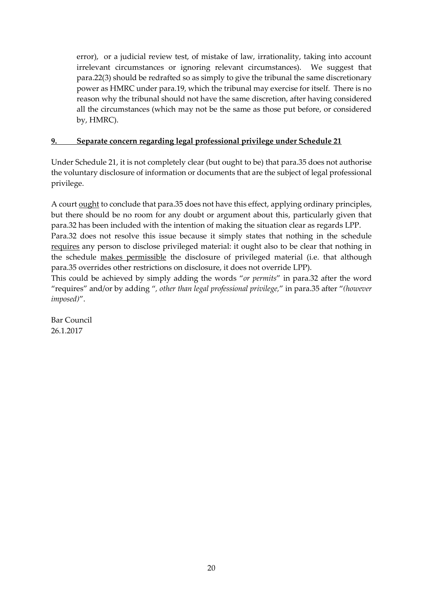error), or a judicial review test, of mistake of law, irrationality, taking into account irrelevant circumstances or ignoring relevant circumstances). We suggest that para.22(3) should be redrafted so as simply to give the tribunal the same discretionary power as HMRC under para.19, which the tribunal may exercise for itself. There is no reason why the tribunal should not have the same discretion, after having considered all the circumstances (which may not be the same as those put before, or considered by, HMRC).

# **9. Separate concern regarding legal professional privilege under Schedule 21**

Under Schedule 21, it is not completely clear (but ought to be) that para.35 does not authorise the voluntary disclosure of information or documents that are the subject of legal professional privilege.

A court ought to conclude that para.35 does not have this effect, applying ordinary principles, but there should be no room for any doubt or argument about this, particularly given that para.32 has been included with the intention of making the situation clear as regards LPP. Para.32 does not resolve this issue because it simply states that nothing in the schedule requires any person to disclose privileged material: it ought also to be clear that nothing in the schedule makes permissible the disclosure of privileged material (i.e. that although

para.35 overrides other restrictions on disclosure, it does not override LPP). This could be achieved by simply adding the words "*or permits*" in para.32 after the word "requires" and/or by adding "*, other than legal professional privilege,*" in para.35 after "*(however* 

Bar Council 26.1.2017

*imposed)*".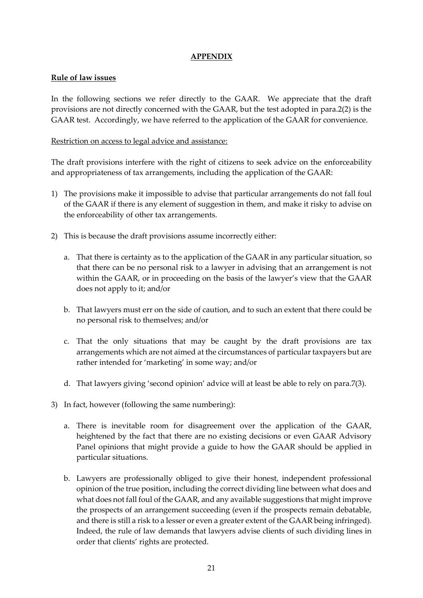# **APPENDIX**

### **Rule of law issues**

In the following sections we refer directly to the GAAR. We appreciate that the draft provisions are not directly concerned with the GAAR, but the test adopted in para.2(2) is the GAAR test. Accordingly, we have referred to the application of the GAAR for convenience.

### Restriction on access to legal advice and assistance:

The draft provisions interfere with the right of citizens to seek advice on the enforceability and appropriateness of tax arrangements, including the application of the GAAR:

- 1) The provisions make it impossible to advise that particular arrangements do not fall foul of the GAAR if there is any element of suggestion in them, and make it risky to advise on the enforceability of other tax arrangements.
- 2) This is because the draft provisions assume incorrectly either:
	- a. That there is certainty as to the application of the GAAR in any particular situation, so that there can be no personal risk to a lawyer in advising that an arrangement is not within the GAAR, or in proceeding on the basis of the lawyer's view that the GAAR does not apply to it; and/or
	- b. That lawyers must err on the side of caution, and to such an extent that there could be no personal risk to themselves; and/or
	- c. That the only situations that may be caught by the draft provisions are tax arrangements which are not aimed at the circumstances of particular taxpayers but are rather intended for 'marketing' in some way; and/or
	- d. That lawyers giving 'second opinion' advice will at least be able to rely on para.7(3).
- 3) In fact, however (following the same numbering):
	- a. There is inevitable room for disagreement over the application of the GAAR, heightened by the fact that there are no existing decisions or even GAAR Advisory Panel opinions that might provide a guide to how the GAAR should be applied in particular situations.
	- b. Lawyers are professionally obliged to give their honest, independent professional opinion of the true position, including the correct dividing line between what does and what does not fall foul of the GAAR, and any available suggestions that might improve the prospects of an arrangement succeeding (even if the prospects remain debatable, and there is still a risk to a lesser or even a greater extent of the GAAR being infringed). Indeed, the rule of law demands that lawyers advise clients of such dividing lines in order that clients' rights are protected.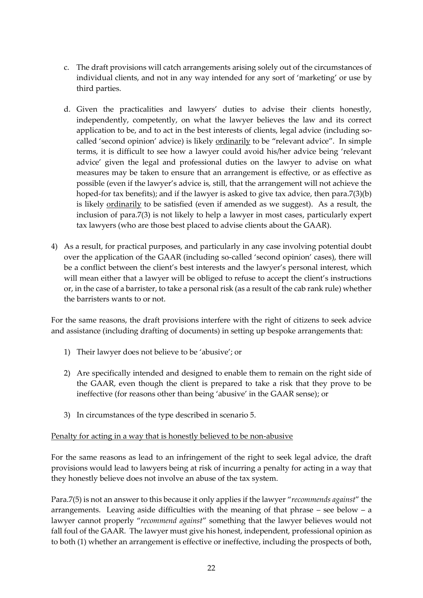- c. The draft provisions will catch arrangements arising solely out of the circumstances of individual clients, and not in any way intended for any sort of 'marketing' or use by third parties.
- d. Given the practicalities and lawyers' duties to advise their clients honestly, independently, competently, on what the lawyer believes the law and its correct application to be, and to act in the best interests of clients, legal advice (including socalled 'second opinion' advice) is likely <u>ordinarily</u> to be "relevant advice". In simple terms, it is difficult to see how a lawyer could avoid his/her advice being 'relevant advice' given the legal and professional duties on the lawyer to advise on what measures may be taken to ensure that an arrangement is effective, or as effective as possible (even if the lawyer's advice is, still, that the arrangement will not achieve the hoped-for tax benefits); and if the lawyer is asked to give tax advice, then para.7(3)(b) is likely ordinarily to be satisfied (even if amended as we suggest). As a result, the inclusion of para.7(3) is not likely to help a lawyer in most cases, particularly expert tax lawyers (who are those best placed to advise clients about the GAAR).
- 4) As a result, for practical purposes, and particularly in any case involving potential doubt over the application of the GAAR (including so-called 'second opinion' cases), there will be a conflict between the client's best interests and the lawyer's personal interest, which will mean either that a lawyer will be obliged to refuse to accept the client's instructions or, in the case of a barrister, to take a personal risk (as a result of the cab rank rule) whether the barristers wants to or not.

For the same reasons, the draft provisions interfere with the right of citizens to seek advice and assistance (including drafting of documents) in setting up bespoke arrangements that:

- 1) Their lawyer does not believe to be 'abusive'; or
- 2) Are specifically intended and designed to enable them to remain on the right side of the GAAR, even though the client is prepared to take a risk that they prove to be ineffective (for reasons other than being 'abusive' in the GAAR sense); or
- 3) In circumstances of the type described in scenario 5.

# Penalty for acting in a way that is honestly believed to be non-abusive

For the same reasons as lead to an infringement of the right to seek legal advice, the draft provisions would lead to lawyers being at risk of incurring a penalty for acting in a way that they honestly believe does not involve an abuse of the tax system.

Para.7(5) is not an answer to this because it only applies if the lawyer "*recommends against*" the arrangements. Leaving aside difficulties with the meaning of that phrase – see below – a lawyer cannot properly "*recommend against*" something that the lawyer believes would not fall foul of the GAAR. The lawyer must give his honest, independent, professional opinion as to both (1) whether an arrangement is effective or ineffective, including the prospects of both,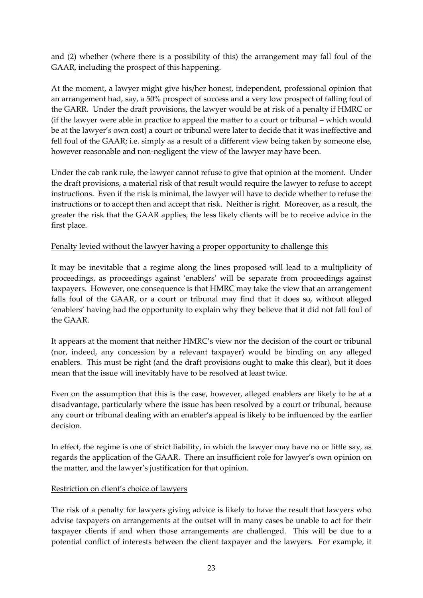and (2) whether (where there is a possibility of this) the arrangement may fall foul of the GAAR, including the prospect of this happening.

At the moment, a lawyer might give his/her honest, independent, professional opinion that an arrangement had, say, a 50% prospect of success and a very low prospect of falling foul of the GARR. Under the draft provisions, the lawyer would be at risk of a penalty if HMRC or (if the lawyer were able in practice to appeal the matter to a court or tribunal – which would be at the lawyer's own cost) a court or tribunal were later to decide that it was ineffective and fell foul of the GAAR; i.e. simply as a result of a different view being taken by someone else, however reasonable and non-negligent the view of the lawyer may have been.

Under the cab rank rule, the lawyer cannot refuse to give that opinion at the moment. Under the draft provisions, a material risk of that result would require the lawyer to refuse to accept instructions. Even if the risk is minimal, the lawyer will have to decide whether to refuse the instructions or to accept then and accept that risk. Neither is right. Moreover, as a result, the greater the risk that the GAAR applies, the less likely clients will be to receive advice in the first place.

### Penalty levied without the lawyer having a proper opportunity to challenge this

It may be inevitable that a regime along the lines proposed will lead to a multiplicity of proceedings, as proceedings against 'enablers' will be separate from proceedings against taxpayers. However, one consequence is that HMRC may take the view that an arrangement falls foul of the GAAR, or a court or tribunal may find that it does so, without alleged 'enablers' having had the opportunity to explain why they believe that it did not fall foul of the GAAR.

It appears at the moment that neither HMRC's view nor the decision of the court or tribunal (nor, indeed, any concession by a relevant taxpayer) would be binding on any alleged enablers. This must be right (and the draft provisions ought to make this clear), but it does mean that the issue will inevitably have to be resolved at least twice.

Even on the assumption that this is the case, however, alleged enablers are likely to be at a disadvantage, particularly where the issue has been resolved by a court or tribunal, because any court or tribunal dealing with an enabler's appeal is likely to be influenced by the earlier decision.

In effect, the regime is one of strict liability, in which the lawyer may have no or little say, as regards the application of the GAAR. There an insufficient role for lawyer's own opinion on the matter, and the lawyer's justification for that opinion.

### Restriction on client's choice of lawyers

The risk of a penalty for lawyers giving advice is likely to have the result that lawyers who advise taxpayers on arrangements at the outset will in many cases be unable to act for their taxpayer clients if and when those arrangements are challenged. This will be due to a potential conflict of interests between the client taxpayer and the lawyers. For example, it